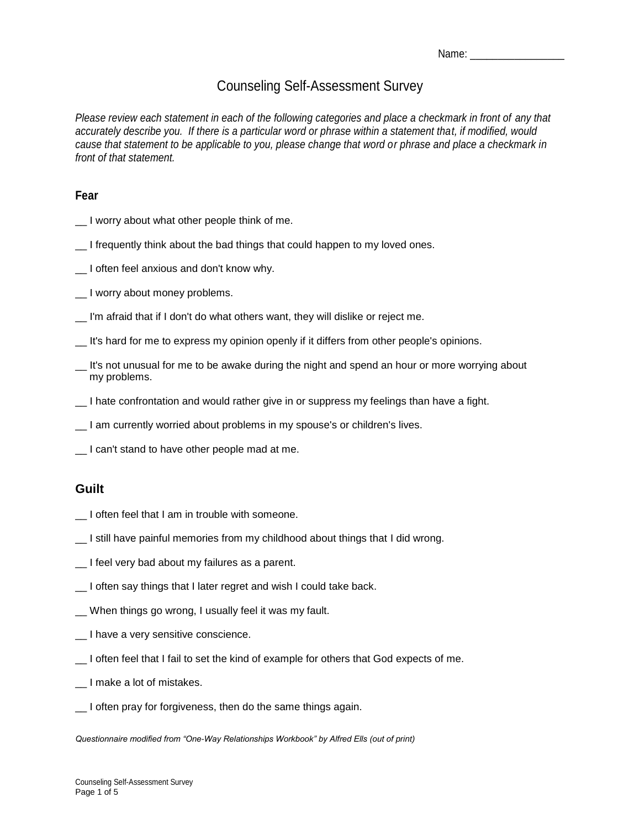| Name: |  |
|-------|--|
|-------|--|

# Counseling Self-Assessment Survey

*Please review each statement in each of the following categories and place a checkmark in front of any that accurately describe you. If there is a particular word or phrase within a statement that, if modified, would cause that statement to be applicable to you, please change that word or phrase and place a checkmark in front of that statement.* 

#### **Fear**

- \_\_ I worry about what other people think of me.
- I frequently think about the bad things that could happen to my loved ones.
- \_\_ I often feel anxious and don't know why.
- \_\_ I worry about money problems.
- \_\_ I'm afraid that if I don't do what others want, they will dislike or reject me.
- \_\_ It's hard for me to express my opinion openly if it differs from other people's opinions.
- \_\_ It's not unusual for me to be awake during the night and spend an hour or more worrying about my problems.
- \_\_ I hate confrontation and would rather give in or suppress my feelings than have a fight.
- \_\_ I am currently worried about problems in my spouse's or children's lives.
- \_\_ I can't stand to have other people mad at me.

# **Guilt**

- \_\_ I often feel that I am in trouble with someone.
- \_\_ I still have painful memories from my childhood about things that I did wrong.
- \_\_ I feel very bad about my failures as a parent.
- I often say things that I later regret and wish I could take back.
- \_\_ When things go wrong, I usually feel it was my fault.
- \_\_ I have a very sensitive conscience.
- \_\_ I often feel that I fail to set the kind of example for others that God expects of me.
- \_\_ I make a lot of mistakes.
- \_\_ I often pray for forgiveness, then do the same things again.

*Questionnaire modified from "One-Way Relationships Workbook" by Alfred Ells (out of print)*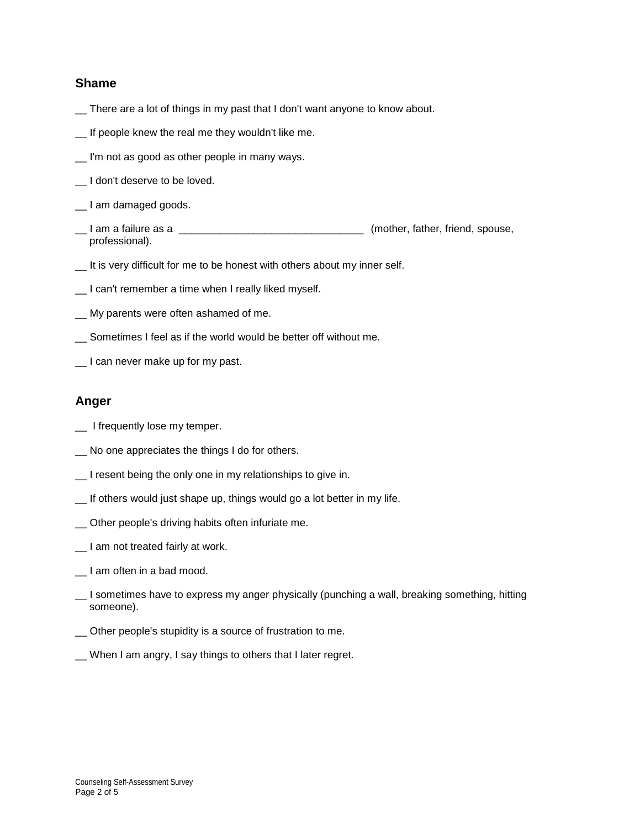#### **Shame**

- \_\_ There are a lot of things in my past that I don't want anyone to know about.
- \_\_ If people knew the real me they wouldn't like me.
- I'm not as good as other people in many ways.
- I don't deserve to be loved.
- I am damaged goods.
- \_\_ I am a failure as a \_\_\_\_\_\_\_\_\_\_\_\_\_\_\_\_\_\_\_\_\_\_\_\_\_\_\_\_\_\_\_\_ (mother, father, friend, spouse, professional).
- \_\_ It is very difficult for me to be honest with others about my inner self.
- \_\_ I can't remember a time when I really liked myself.
- \_\_ My parents were often ashamed of me.
- Sometimes I feel as if the world would be better off without me.
- I can never make up for my past.

### **Anger**

- \_ I frequently lose my temper.
- \_\_ No one appreciates the things I do for others.
- \_\_ I resent being the only one in my relationships to give in.
- \_\_ If others would just shape up, things would go a lot better in my life.
- \_\_ Other people's driving habits often infuriate me.
- \_\_ I am not treated fairly at work.
- \_\_ I am often in a bad mood.
- \_\_ I sometimes have to express my anger physically (punching a wall, breaking something, hitting someone).
- \_\_ Other people's stupidity is a source of frustration to me.
- \_\_ When I am angry, I say things to others that I later regret.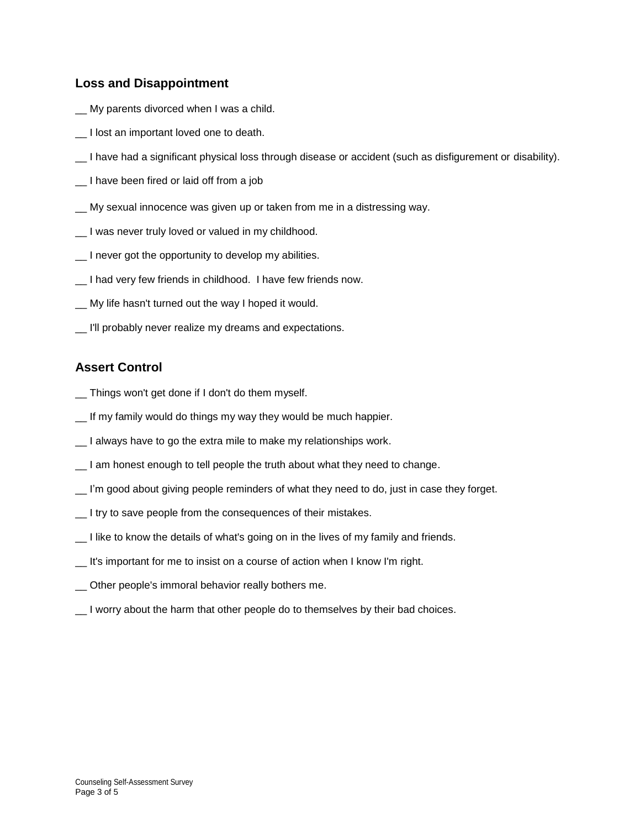## **Loss and Disappointment**

- \_\_ My parents divorced when I was a child.
- \_\_ I lost an important loved one to death.
- \_\_ I have had a significant physical loss through disease or accident (such as disfigurement or disability).
- \_\_ I have been fired or laid off from a job
- \_\_ My sexual innocence was given up or taken from me in a distressing way.
- I was never truly loved or valued in my childhood.
- I never got the opportunity to develop my abilities.
- \_\_ I had very few friends in childhood. I have few friends now.
- \_\_ My life hasn't turned out the way I hoped it would.
- I'll probably never realize my dreams and expectations.

# **Assert Control**

- \_\_ Things won't get done if I don't do them myself.
- \_\_ If my family would do things my way they would be much happier.
- \_\_ I always have to go the extra mile to make my relationships work.
- I am honest enough to tell people the truth about what they need to change.
- \_\_ I'm good about giving people reminders of what they need to do, just in case they forget.
- \_\_ I try to save people from the consequences of their mistakes.
- \_\_ I like to know the details of what's going on in the lives of my family and friends.
- \_\_ It's important for me to insist on a course of action when I know I'm right.
- \_\_ Other people's immoral behavior really bothers me.
- \_\_ I worry about the harm that other people do to themselves by their bad choices.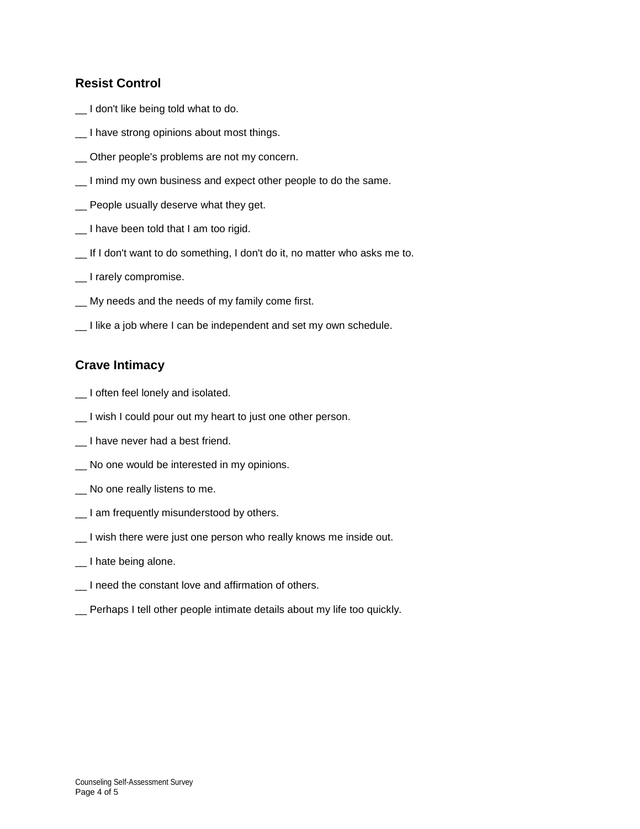## **Resist Control**

- \_\_ I don't like being told what to do.
- \_\_ I have strong opinions about most things.
- \_\_ Other people's problems are not my concern.
- \_\_ I mind my own business and expect other people to do the same.
- \_\_ People usually deserve what they get.
- \_\_ I have been told that I am too rigid.
- \_\_ If I don't want to do something, I don't do it, no matter who asks me to.
- \_\_ I rarely compromise.
- \_\_ My needs and the needs of my family come first.
- \_\_ I like a job where I can be independent and set my own schedule.

## **Crave Intimacy**

- \_\_ I often feel lonely and isolated.
- \_\_ I wish I could pour out my heart to just one other person.
- \_\_ I have never had a best friend.
- \_\_ No one would be interested in my opinions.
- \_\_ No one really listens to me.
- \_\_ I am frequently misunderstood by others.
- \_\_ I wish there were just one person who really knows me inside out.
- \_\_ I hate being alone.
- \_\_ I need the constant love and affirmation of others.
- \_\_ Perhaps I tell other people intimate details about my life too quickly.